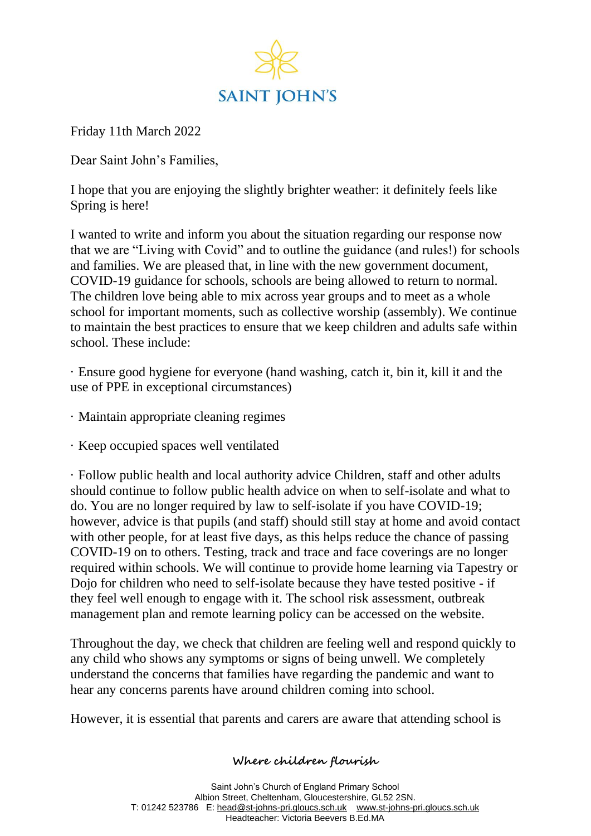

Friday 11th March 2022

Dear Saint John's Families,

I hope that you are enjoying the slightly brighter weather: it definitely feels like Spring is here!

I wanted to write and inform you about the situation regarding our response now that we are "Living with Covid" and to outline the guidance (and rules!) for schools and families. We are pleased that, in line with the new government document, COVID-19 guidance for schools, schools are being allowed to return to normal. The children love being able to mix across year groups and to meet as a whole school for important moments, such as collective worship (assembly). We continue to maintain the best practices to ensure that we keep children and adults safe within school. These include:

· Ensure good hygiene for everyone (hand washing, catch it, bin it, kill it and the use of PPE in exceptional circumstances)

- · Maintain appropriate cleaning regimes
- · Keep occupied spaces well ventilated

· Follow public health and local authority advice Children, staff and other adults should continue to follow public health advice on when to self-isolate and what to do. You are no longer required by law to self-isolate if you have COVID-19; however, advice is that pupils (and staff) should still stay at home and avoid contact with other people, for at least five days, as this helps reduce the chance of passing COVID-19 on to others. Testing, track and trace and face coverings are no longer required within schools. We will continue to provide home learning via Tapestry or Dojo for children who need to self-isolate because they have tested positive - if they feel well enough to engage with it. The school risk assessment, outbreak management plan and remote learning policy can be accessed on the website.

Throughout the day, we check that children are feeling well and respond quickly to any child who shows any symptoms or signs of being unwell. We completely understand the concerns that families have regarding the pandemic and want to hear any concerns parents have around children coming into school.

However, it is essential that parents and carers are aware that attending school is

## **Where children flourish**